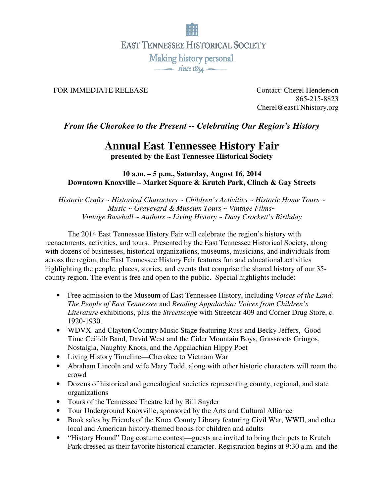

**EAST TENNESSEE HISTORICAL SOCIETY** 

Making history personal  $\overline{\phantom{1}}$  since  $1834$ 

## FOR IMMEDIATE RELEASE Contact: Cherel Henderson

865-215-8823 Cherel@eastTNhistory.org

## *From the Cherokee to the Present -- Celebrating Our Region's History*

## **Annual East Tennessee History Fair**

**presented by the East Tennessee Historical Society** 

**10 a.m. – 5 p.m., Saturday, August 16, 2014 Downtown Knoxville – Market Square & Krutch Park, Clinch & Gay Streets**

*Historic Crafts ~ Historical Characters ~ Children's Activities ~ Historic Home Tours ~ Music ~ Graveyard & Museum Tours ~ Vintage Films~ Vintage Baseball ~ Authors ~ Living History ~ Davy Crockett's Birthday*

 The 2014 East Tennessee History Fair will celebrate the region's history with reenactments, activities, and tours. Presented by the East Tennessee Historical Society, along with dozens of businesses, historical organizations, museums, musicians, and individuals from across the region, the East Tennessee History Fair features fun and educational activities highlighting the people, places, stories, and events that comprise the shared history of our 35 county region. The event is free and open to the public. Special highlights include:

- Free admission to the Museum of East Tennessee History, including *Voices of the Land: The People of East Tennessee* and *Reading Appalachia: Voices from Children's Literature* exhibitions, plus the *Streetscap*e with Streetcar 409 and Corner Drug Store, c. 1920-1930.
- WDVX and Clayton Country Music Stage featuring Russ and Becky Jeffers, Good Time Ceilidh Band, David West and the Cider Mountain Boys, Grassroots Gringos, Nostalgia, Naughty Knots, and the Appalachian Hippy Poet
- Living History Timeline—Cherokee to Vietnam War
- Abraham Lincoln and wife Mary Todd, along with other historic characters will roam the crowd
- Dozens of historical and genealogical societies representing county, regional, and state organizations
- Tours of the Tennessee Theatre led by Bill Snyder
- Tour Underground Knoxville, sponsored by the Arts and Cultural Alliance
- Book sales by Friends of the Knox County Library featuring Civil War, WWII, and other local and American history-themed books for children and adults
- "History Hound" Dog costume contest—guests are invited to bring their pets to Krutch Park dressed as their favorite historical character. Registration begins at 9:30 a.m. and the